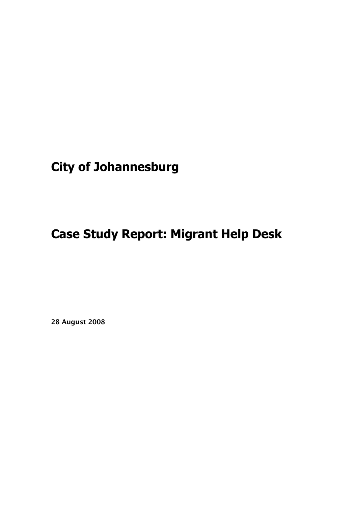**City of Johannesburg**

**Case Study Report: Migrant Help Desk**

**28 August 2008**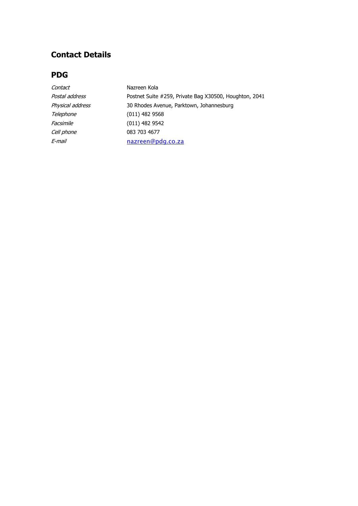# **Contact Details**

## **PDG**

| Nazreen Kola                                           |
|--------------------------------------------------------|
| Postnet Suite #259, Private Bag X30500, Houghton, 2041 |
| 30 Rhodes Avenue, Parktown, Johannesburg               |
| $(011)$ 482 9568                                       |
| $(011)$ 482 9542                                       |
| 083 703 4677                                           |
| nazreen@pdg.co.za                                      |
|                                                        |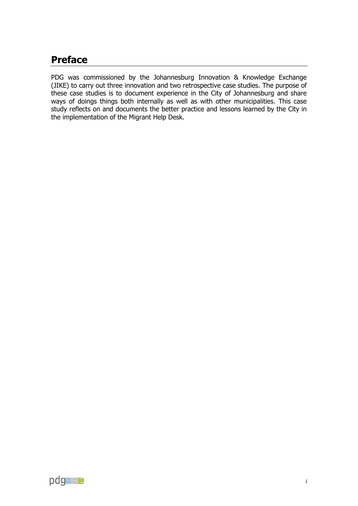# <span id="page-2-0"></span>**Preface**

PDG was commissioned by the Johannesburg Innovation & Knowledge Exchange (JIKE) to carry out three innovation and two retrospective case studies. The purpose of these case studies is to document experience in the City of Johannesburg and share ways of doings things both internally as well as with other municipalities. This case study reflects on and documents the better practice and lessons learned by the City in the implementation of the Migrant Help Desk.

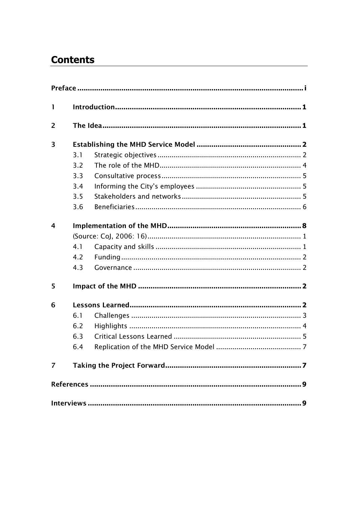# **Contents**

| $\mathbf{1}$            |     |  |  |  |
|-------------------------|-----|--|--|--|
| $\overline{2}$          |     |  |  |  |
| $\overline{\mathbf{3}}$ |     |  |  |  |
|                         | 3.1 |  |  |  |
|                         | 3.2 |  |  |  |
|                         | 3.3 |  |  |  |
|                         | 3.4 |  |  |  |
|                         | 3.5 |  |  |  |
|                         | 3.6 |  |  |  |
| $\overline{4}$          |     |  |  |  |
|                         |     |  |  |  |
|                         | 4.1 |  |  |  |
|                         | 4.2 |  |  |  |
|                         | 4.3 |  |  |  |
| 5                       |     |  |  |  |
| 6                       |     |  |  |  |
|                         | 6.1 |  |  |  |
|                         | 6.2 |  |  |  |
|                         | 6.3 |  |  |  |
|                         | 6.4 |  |  |  |
|                         |     |  |  |  |
|                         |     |  |  |  |
|                         |     |  |  |  |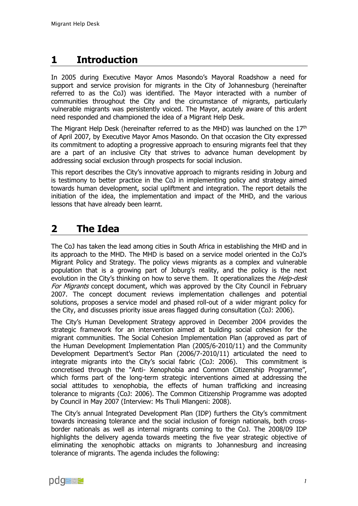# <span id="page-4-0"></span>**1 Introduction**

In 2005 during Executive Mayor Amos Masondo's Mayoral Roadshow a need for support and service provision for migrants in the City of Johannesburg (hereinafter referred to as the CoJ) was identified. The Mayor interacted with a number of communities throughout the City and the circumstance of migrants, particularly vulnerable migrants was persistently voiced. The Mayor, acutely aware of this ardent need responded and championed the idea of a Migrant Help Desk.

The Migrant Help Desk (hereinafter referred to as the MHD) was launched on the  $17<sup>th</sup>$ of April 2007, by Executive Mayor Amos Masondo. On that occasion the City expressed its commitment to adopting a progressive approach to ensuring migrants feel that they are a part of an inclusive City that strives to advance human development by addressing social exclusion through prospects for social inclusion.

This report describes the City's innovative approach to migrants residing in Joburg and is testimony to better practice in the CoJ in implementing policy and strategy aimed towards human development, social upliftment and integration. The report details the initiation of the idea, the implementation and impact of the MHD, and the various lessons that have already been learnt.

# <span id="page-4-1"></span>**2 The Idea**

The CoJ has taken the lead among cities in South Africa in establishing the MHD and in its approach to the MHD. The MHD is based on a service model oriented in the CoJ's Migrant Policy and Strategy. The policy views migrants as a complex and vulnerable population that is a growing part of Joburg's reality, and the policy is the next evolution in the City's thinking on how to serve them. It operationalizes the *Help-desk* For Migrants concept document, which was approved by the City Council in February 2007. The concept document reviews implementation challenges and potential solutions, proposes a service model and phased roll-out of a wider migrant policy for the City, and discusses priority issue areas flagged during consultation (CoJ: 2006).

The City's Human Development Strategy approved in December 2004 provides the strategic framework for an intervention aimed at building social cohesion for the migrant communities. The Social Cohesion Implementation Plan (approved as part of the Human Development Implementation Plan (2005/6-2010/11) and the Community Development Department's Sector Plan (2006/7-2010/11) articulated the need to integrate migrants into the City's social fabric (CoJ: 2006). This commitment is concretised through the "Anti- Xenophobia and Common Citizenship Programme", which forms part of the long-term strategic interventions aimed at addressing the social attitudes to xenophobia, the effects of human trafficking and increasing tolerance to migrants (CoJ: 2006). The Common Citizenship Programme was adopted by Council in May 2007 (Interview: Ms Thuli Mlangeni: 2008).

The City's annual Integrated Development Plan (IDP) furthers the City's commitment towards increasing tolerance and the social inclusion of foreign nationals, both crossborder nationals as well as internal migrants coming to the CoJ. The 2008/09 IDP highlights the delivery agenda towards meeting the five year strategic objective of eliminating the xenophobic attacks on migrants to Johannesburg and increasing tolerance of migrants. The agenda includes the following:

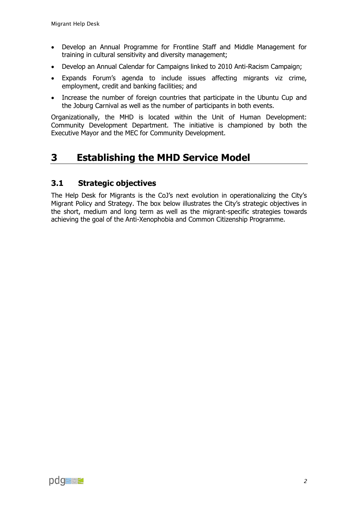- Develop an Annual Programme for Frontline Staff and Middle Management for training in cultural sensitivity and diversity management;
- Develop an Annual Calendar for Campaigns linked to 2010 Anti-Racism Campaign;
- Expands Forum's agenda to include issues affecting migrants viz crime, employment, credit and banking facilities; and
- Increase the number of foreign countries that participate in the Ubuntu Cup and the Joburg Carnival as well as the number of participants in both events.

Organizationally, the MHD is located within the Unit of Human Development: Community Development Department. The initiative is championed by both the Executive Mayor and the MEC for Community Development.

# <span id="page-5-0"></span>**3 Establishing the MHD Service Model**

## <span id="page-5-1"></span>**3.1 Strategic objectives**

The Help Desk for Migrants is the CoJ's next evolution in operationalizing the City's Migrant Policy and Strategy. The box below illustrates the City's strategic objectives in the short, medium and long term as well as the migrant-specific strategies towards achieving the goal of the Anti-Xenophobia and Common Citizenship Programme.

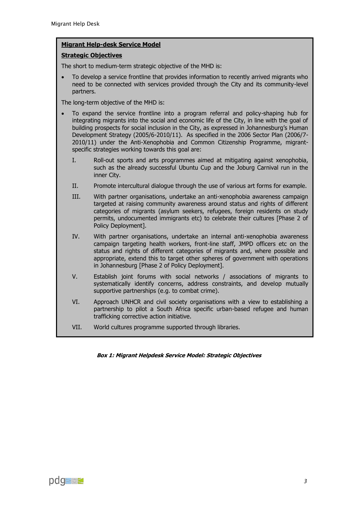#### **Migrant Help-desk Service Model**

#### **Strategic Objectives**

The short to medium-term strategic objective of the MHD is:

 To develop a service frontline that provides information to recently arrived migrants who need to be connected with services provided through the City and its community-level partners.

The long-term objective of the MHD is:

- To expand the service frontline into a program referral and policy-shaping hub for integrating migrants into the social and economic life of the City, in line with the goal of building prospects for social inclusion in the City, as expressed in Johannesburg's Human Development Strategy (2005/6-2010/11). As specified in the 2006 Sector Plan (2006/7- 2010/11) under the Anti-Xenophobia and Common Citizenship Programme, migrantspecific strategies working towards this goal are:
	- I. Roll-out sports and arts programmes aimed at mitigating against xenophobia, such as the already successful Ubuntu Cup and the Joburg Carnival run in the inner City.
	- II. Promote intercultural dialogue through the use of various art forms for example.
	- III. With partner organisations, undertake an anti-xenophobia awareness campaign targeted at raising community awareness around status and rights of different categories of migrants (asylum seekers, refugees, foreign residents on study permits, undocumented immigrants etc) to celebrate their cultures [Phase 2 of Policy Deployment].
	- IV. With partner organisations, undertake an internal anti-xenophobia awareness campaign targeting health workers, front-line staff, JMPD officers etc on the status and rights of different categories of migrants and, where possible and appropriate, extend this to target other spheres of government with operations in Johannesburg [Phase 2 of Policy Deployment].
	- V. Establish joint forums with social networks / associations of migrants to systematically identify concerns, address constraints, and develop mutually supportive partnerships (e.g. to combat crime).
	- VI. Approach UNHCR and civil society organisations with a view to establishing a partnership to pilot a South Africa specific urban-based refugee and human trafficking corrective action initiative.
	- VII. World cultures programme supported through libraries.

**Box 1: Migrant Helpdesk Service Model: Strategic Objectives**

 $\overline{\phantom{a}}$  is the motion rights through workshops and information campaigns. The motion campaigns and information campaigns.

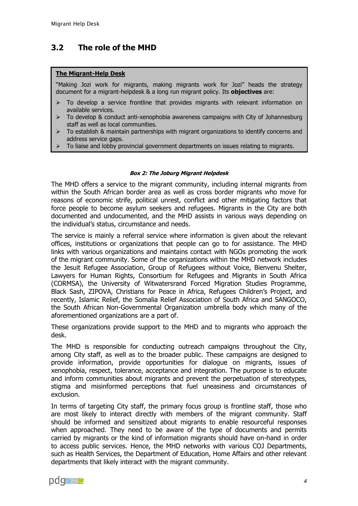## <span id="page-7-0"></span>**3.2 The role of the MHD**

#### **The Migrant-Help Desk**

"Making Jozi work for migrants, making migrants work for Jozi" heads the strategy document for a migrant-helpdesk & a long run migrant policy. Its **objectives** are:

- To develop a service frontline that provides migrants with relevant information on available services.
- $\triangleright$  To develop & conduct anti-xenophobia awareness campaigns with City of Johannesburg staff as well as local communities.
- $\triangleright$  To establish & maintain partnerships with migrant organizations to identify concerns and address service gaps.
- $\geq$  To liaise and lobby provincial government departments on issues relating to migrants.

#### **Box 2: The Joburg Migrant Helpdesk**

The MHD offers a service to the migrant community, including internal migrants from within the South African border area as well as cross border migrants who move for reasons of economic strife, political unrest, conflict and other mitigating factors that force people to become asylum seekers and refugees. Migrants in the City are both documented and undocumented, and the MHD assists in various ways depending on the individual's status, circumstance and needs.

The service is mainly a referral service where information is given about the relevant offices, institutions or organizations that people can go to for assistance. The MHD links with various organizations and maintains contact with NGOs promoting the work of the migrant community. Some of the organizations within the MHD network includes the Jesuit Refugee Association, Group of Refugees without Voice, Bienvenu Shelter, Lawyers for Human Rights, Consortium for Refugees and Migrants in South Africa (CORMSA), the University of Witwatersrand Forced Migration Studies Programme, Black Sash, ZIPOVA, Christians for Peace in Africa, Refugees Children's Project, and recently, Islamic Relief, the Somalia Relief Association of South Africa and SANGOCO, the South African Non-Governmental Organization umbrella body which many of the aforementioned organizations are a part of.

These organizations provide support to the MHD and to migrants who approach the desk.

The MHD is responsible for conducting outreach campaigns throughout the City, among City staff, as well as to the broader public. These campaigns are designed to provide information, provide opportunities for dialogue on migrants, issues of xenophobia, respect, tolerance, acceptance and integration. The purpose is to educate and inform communities about migrants and prevent the perpetuation of stereotypes, stigma and misinformed perceptions that fuel uneasiness and circumstances of exclusion.

In terms of targeting City staff, the primary focus group is frontline staff, those who are most likely to interact directly with members of the migrant community. Staff should be informed and sensitized about migrants to enable resourceful responses when approached. They need to be aware of the type of documents and permits carried by migrants or the kind of information migrants should have on-hand in order to access public services. Hence, the MHD networks with various COJ Departments, such as Health Services, the Department of Education, Home Affairs and other relevant departments that likely interact with the migrant community.

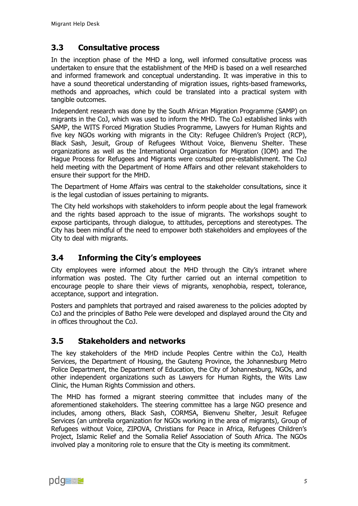## <span id="page-8-0"></span>**3.3 Consultative process**

In the inception phase of the MHD a long, well informed consultative process was undertaken to ensure that the establishment of the MHD is based on a well researched and informed framework and conceptual understanding. It was imperative in this to have a sound theoretical understanding of migration issues, rights-based frameworks, methods and approaches, which could be translated into a practical system with tangible outcomes.

Independent research was done by the South African Migration Programme (SAMP) on migrants in the CoJ, which was used to inform the MHD. The CoJ established links with SAMP, the WITS Forced Migration Studies Programme, Lawyers for Human Rights and five key NGOs working with migrants in the City: Refugee Children's Project (RCP), Black Sash, Jesuit, Group of Refugees Without Voice, Bienvenu Shelter. These organizations as well as the International Organization for Migration (IOM) and The Hague Process for Refugees and Migrants were consulted pre-establishment. The CoJ held meeting with the Department of Home Affairs and other relevant stakeholders to ensure their support for the MHD.

The Department of Home Affairs was central to the stakeholder consultations, since it is the legal custodian of issues pertaining to migrants.

The City held workshops with stakeholders to inform people about the legal framework and the rights based approach to the issue of migrants. The workshops sought to expose participants, through dialogue, to attitudes, perceptions and stereotypes. The City has been mindful of the need to empower both stakeholders and employees of the City to deal with migrants.

## <span id="page-8-1"></span>**3.4 Informing the City's employees**

City employees were informed about the MHD through the City's intranet where information was posted. The City further carried out an internal competition to encourage people to share their views of migrants, xenophobia, respect, tolerance, acceptance, support and integration.

Posters and pamphlets that portrayed and raised awareness to the policies adopted by CoJ and the principles of Batho Pele were developed and displayed around the City and in offices throughout the CoJ.

## <span id="page-8-2"></span>**3.5 Stakeholders and networks**

The key stakeholders of the MHD include Peoples Centre within the CoJ, Health Services, the Department of Housing, the Gauteng Province, the Johannesburg Metro Police Department, the Department of Education, the City of Johannesburg, NGOs, and other independent organizations such as Lawyers for Human Rights, the Wits Law Clinic, the Human Rights Commission and others.

The MHD has formed a migrant steering committee that includes many of the aforementioned stakeholders. The steering committee has a large NGO presence and includes, among others, Black Sash, CORMSA, Bienvenu Shelter, Jesuit Refugee Services (an umbrella organization for NGOs working in the area of migrants), Group of Refugees without Voice, ZIPOVA, Christians for Peace in Africa, Refugees Children's Project, Islamic Relief and the Somalia Relief Association of South Africa. The NGOs involved play a monitoring role to ensure that the City is meeting its commitment.

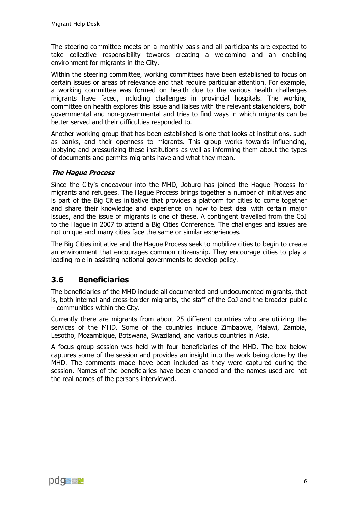The steering committee meets on a monthly basis and all participants are expected to take collective responsibility towards creating a welcoming and an enabling environment for migrants in the City.

Within the steering committee, working committees have been established to focus on certain issues or areas of relevance and that require particular attention. For example, a working committee was formed on health due to the various health challenges migrants have faced, including challenges in provincial hospitals. The working committee on health explores this issue and liaises with the relevant stakeholders, both governmental and non-governmental and tries to find ways in which migrants can be better served and their difficulties responded to.

Another working group that has been established is one that looks at institutions, such as banks, and their openness to migrants. This group works towards influencing, lobbying and pressurizing these institutions as well as informing them about the types of documents and permits migrants have and what they mean.

#### **The Hague Process**

Since the City's endeavour into the MHD, Joburg has joined the Hague Process for migrants and refugees. The Hague Process brings together a number of initiatives and is part of the Big Cities initiative that provides a platform for cities to come together and share their knowledge and experience on how to best deal with certain major issues, and the issue of migrants is one of these. A contingent travelled from the CoJ to the Hague in 2007 to attend a Big Cities Conference. The challenges and issues are not unique and many cities face the same or similar experiences.

The Big Cities initiative and the Hague Process seek to mobilize cities to begin to create an environment that encourages common citizenship. They encourage cities to play a leading role in assisting national governments to develop policy.

## <span id="page-9-0"></span>**3.6 Beneficiaries**

The beneficiaries of the MHD include all documented and undocumented migrants, that is, both internal and cross-border migrants, the staff of the CoJ and the broader public – communities within the City.

Currently there are migrants from about 25 different countries who are utilizing the services of the MHD. Some of the countries include Zimbabwe, Malawi, Zambia, Lesotho, Mozambique, Botswana, Swaziland, and various countries in Asia.

A focus group session was held with four beneficiaries of the MHD. The box below captures some of the session and provides an insight into the work being done by the MHD. The comments made have been included as they were captured during the session. Names of the beneficiaries have been changed and the names used are not the real names of the persons interviewed.

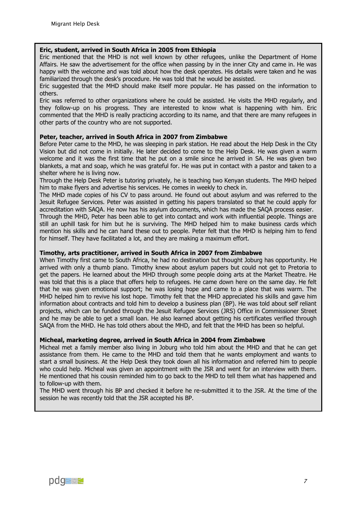#### **Eric, student, arrived in South Africa in 2005 from Ethiopia**

Eric mentioned that the MHD is not well known by other refugees, unlike the Department of Home Affairs. He saw the advertisement for the office when passing by in the inner City and came in. He was happy with the welcome and was told about how the desk operates. His details were taken and he was familiarized through the desk's procedure. He was told that he would be assisted.

Eric suggested that the MHD should make itself more popular. He has passed on the information to others.

Eric was referred to other organizations where he could be assisted. He visits the MHD regularly, and they follow-up on his progress. They are interested to know what is happening with him. Eric commented that the MHD is really practicing according to its name, and that there are many refugees in other parts of the country who are not supported.

#### **Peter, teacher, arrived in South Africa in 2007 from Zimbabwe**

Before Peter came to the MHD, he was sleeping in park station. He read about the Help Desk in the City Vision but did not come in initially. He later decided to come to the Help Desk. He was given a warm welcome and it was the first time that he put on a smile since he arrived in SA. He was given two blankets, a mat and soap, which he was grateful for. He was put in contact with a pastor and taken to a shelter where he is living now.

Through the Help Desk Peter is tutoring privately, he is teaching two Kenyan students. The MHD helped him to make flyers and advertise his services. He comes in weekly to check in.

The MHD made copies of his CV to pass around. He found out about asylum and was referred to the Jesuit Refugee Services. Peter was assisted in getting his papers translated so that he could apply for accreditation with SAQA. He now has his asylum documents, which has made the SAQA process easier.

Through the MHD, Peter has been able to get into contact and work with influential people. Things are still an uphill task for him but he is surviving. The MHD helped him to make business cards which mention his skills and he can hand these out to people. Peter felt that the MHD is helping him to fend for himself. They have facilitated a lot, and they are making a maximum effort.

#### **Timothy, arts practitioner, arrived in South Africa in 2007 from Zimbabwe**

When Timothy first came to South Africa, he had no destination but thought Joburg has opportunity. He arrived with only a thumb piano. Timothy knew about asylum papers but could not get to Pretoria to get the papers. He learned about the MHD through some people doing arts at the Market Theatre. He was told that this is a place that offers help to refugees. He came down here on the same day. He felt that he was given emotional support; he was losing hope and came to a place that was warm. The MHD helped him to revive his lost hope. Timothy felt that the MHD appreciated his skills and gave him information about contracts and told him to develop a business plan (BP). He was told about self reliant projects, which can be funded through the Jesuit Refugee Services (JRS) Office in Commissioner Street and he may be able to get a small loan. He also learned about getting his certificates verified through SAQA from the MHD. He has told others about the MHD, and felt that the MHD has been so helpful.

#### **Micheal, marketing degree, arrived in South Africa in 2004 from Zimbabwe**

Micheal met a family member also living in Joburg who told him about the MHD and that he can get assistance from them. He came to the MHD and told them that he wants employment and wants to start a small business. At the Help Desk they took down all his information and referred him to people who could help. Micheal was given an appointment with the JSR and went for an interview with them. He mentioned that his cousin reminded him to go back to the MHD to tell them what has happened and to follow-up with them.

The MHD went through his BP and checked it before he re-submitted it to the JSR. At the time of the session he was recently told that the JSR accepted his BP.

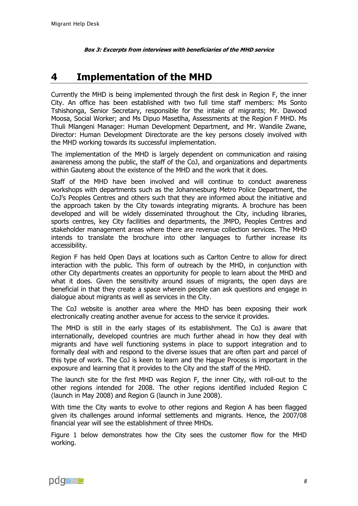**Box 3: Excerpts from interviews with beneficiaries of the MHD service**

# <span id="page-11-0"></span>**4 Implementation of the MHD**

Currently the MHD is being implemented through the first desk in Region F, the inner City. An office has been established with two full time staff members: Ms Sonto Tshishonga, Senior Secretary, responsible for the intake of migrants; Mr. Dawood Moosa, Social Worker; and Ms Dipuo Masetlha, Assessments at the Region F MHD. Ms Thuli Mlangeni Manager: Human Development Department, and Mr. Wandile Zwane, Director: Human Development Directorate are the key persons closely involved with the MHD working towards its successful implementation.

The implementation of the MHD is largely dependent on communication and raising awareness among the public, the staff of the CoJ, and organizations and departments within Gauteng about the existence of the MHD and the work that it does.

Staff of the MHD have been involved and will continue to conduct awareness workshops with departments such as the Johannesburg Metro Police Department, the CoJ's Peoples Centres and others such that they are informed about the initiative and the approach taken by the City towards integrating migrants. A brochure has been developed and will be widely disseminated throughout the City, including libraries, sports centres, key City facilities and departments, the JMPD, Peoples Centres and stakeholder management areas where there are revenue collection services. The MHD intends to translate the brochure into other languages to further increase its accessibility.

Region F has held Open Days at locations such as Carlton Centre to allow for direct interaction with the public. This form of outreach by the MHD, in conjunction with other City departments creates an opportunity for people to learn about the MHD and what it does. Given the sensitivity around issues of migrants, the open days are beneficial in that they create a space wherein people can ask questions and engage in dialogue about migrants as well as services in the City.

The CoJ website is another area where the MHD has been exposing their work electronically creating another avenue for access to the service it provides.

The MHD is still in the early stages of its establishment. The CoJ is aware that internationally, developed countries are much further ahead in how they deal with migrants and have well functioning systems in place to support integration and to formally deal with and respond to the diverse issues that are often part and parcel of this type of work. The CoJ is keen to learn and the Hague Process is important in the exposure and learning that it provides to the City and the staff of the MHD.

The launch site for the first MHD was Region F, the inner City, with roll-out to the other regions intended for 2008. The other regions identified included Region C (launch in May 2008) and Region G (launch in June 2008).

With time the City wants to evolve to other regions and Region A has been flagged given its challenges around informal settlements and migrants. Hence, the 2007/08 financial year will see the establishment of three MHDs.

Figure 1 below demonstrates how the City sees the customer flow for the MHD working.

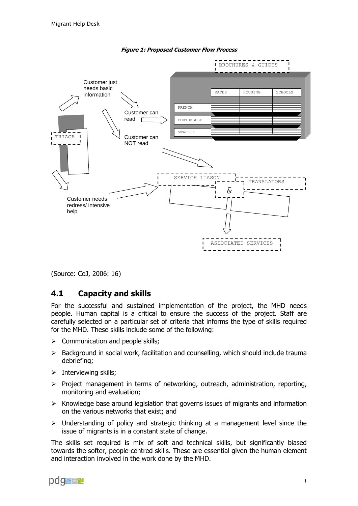

**Figure 1: Proposed Customer Flow Process**

<span id="page-12-0"></span>(Source: CoJ, 2006: 16)

### <span id="page-12-1"></span>**4.1 Capacity and skills**

For the successful and sustained implementation of the project, the MHD needs people. Human capital is a critical to ensure the success of the project. Staff are carefully selected on a particular set of criteria that informs the type of skills required for the MHD. These skills include some of the following:

- $\triangleright$  Communication and people skills;
- $\triangleright$  Background in social work, facilitation and counselling, which should include trauma debriefing;
- $\triangleright$  Interviewing skills;
- $\triangleright$  Project management in terms of networking, outreach, administration, reporting, monitoring and evaluation;
- $\triangleright$  Knowledge base around legislation that governs issues of migrants and information on the various networks that exist; and
- $\triangleright$  Understanding of policy and strategic thinking at a management level since the issue of migrants is in a constant state of change.

The skills set required is mix of soft and technical skills, but significantly biased towards the softer, people-centred skills. These are essential given the human element and interaction involved in the work done by the MHD.

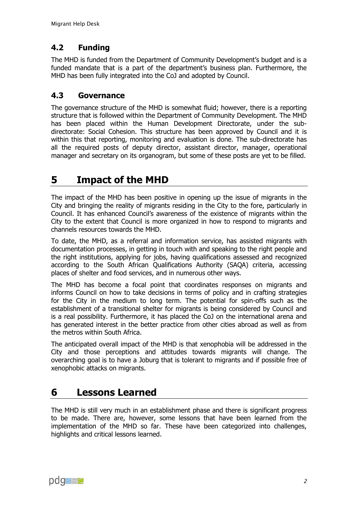## <span id="page-13-0"></span>**4.2 Funding**

The MHD is funded from the Department of Community Development's budget and is a funded mandate that is a part of the department's business plan. Furthermore, the MHD has been fully integrated into the CoJ and adopted by Council.

## <span id="page-13-1"></span>**4.3 Governance**

The governance structure of the MHD is somewhat fluid; however, there is a reporting structure that is followed within the Department of Community Development. The MHD has been placed within the Human Development Directorate, under the subdirectorate: Social Cohesion. This structure has been approved by Council and it is within this that reporting, monitoring and evaluation is done. The sub-directorate has all the required posts of deputy director, assistant director, manager, operational manager and secretary on its organogram, but some of these posts are yet to be filled.

# <span id="page-13-2"></span>**5 Impact of the MHD**

The impact of the MHD has been positive in opening up the issue of migrants in the City and bringing the reality of migrants residing in the City to the fore, particularly in Council. It has enhanced Council's awareness of the existence of migrants within the City to the extent that Council is more organized in how to respond to migrants and channels resources towards the MHD.

To date, the MHD, as a referral and information service, has assisted migrants with documentation processes, in getting in touch with and speaking to the right people and the right institutions, applying for jobs, having qualifications assessed and recognized according to the South African Qualifications Authority (SAQA) criteria, accessing places of shelter and food services, and in numerous other ways.

The MHD has become a focal point that coordinates responses on migrants and informs Council on how to take decisions in terms of policy and in crafting strategies for the City in the medium to long term. The potential for spin-offs such as the establishment of a transitional shelter for migrants is being considered by Council and is a real possibility. Furthermore, it has placed the CoJ on the international arena and has generated interest in the better practice from other cities abroad as well as from the metros within South Africa.

The anticipated overall impact of the MHD is that xenophobia will be addressed in the City and those perceptions and attitudes towards migrants will change. The overarching goal is to have a Joburg that is tolerant to migrants and if possible free of xenophobic attacks on migrants.

# <span id="page-13-3"></span>**6 Lessons Learned**

The MHD is still very much in an establishment phase and there is significant progress to be made. There are, however, some lessons that have been learned from the implementation of the MHD so far. These have been categorized into challenges, highlights and critical lessons learned.

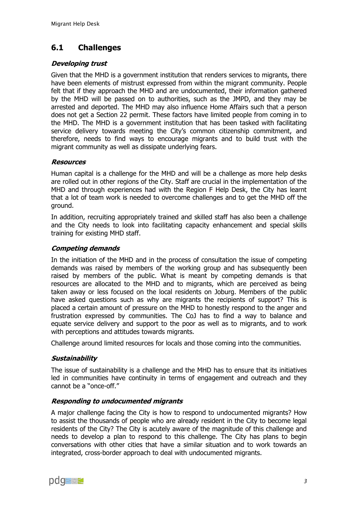## <span id="page-14-0"></span>**6.1 Challenges**

### **Developing trust**

Given that the MHD is a government institution that renders services to migrants, there have been elements of mistrust expressed from within the migrant community. People felt that if they approach the MHD and are undocumented, their information gathered by the MHD will be passed on to authorities, such as the JMPD, and they may be arrested and deported. The MHD may also influence Home Affairs such that a person does not get a Section 22 permit. These factors have limited people from coming in to the MHD. The MHD is a government institution that has been tasked with facilitating service delivery towards meeting the City's common citizenship commitment, and therefore, needs to find ways to encourage migrants and to build trust with the migrant community as well as dissipate underlying fears.

### **Resources**

Human capital is a challenge for the MHD and will be a challenge as more help desks are rolled out in other regions of the City. Staff are crucial in the implementation of the MHD and through experiences had with the Region F Help Desk, the City has learnt that a lot of team work is needed to overcome challenges and to get the MHD off the ground.

In addition, recruiting appropriately trained and skilled staff has also been a challenge and the City needs to look into facilitating capacity enhancement and special skills training for existing MHD staff.

### **Competing demands**

In the initiation of the MHD and in the process of consultation the issue of competing demands was raised by members of the working group and has subsequently been raised by members of the public. What is meant by competing demands is that resources are allocated to the MHD and to migrants, which are perceived as being taken away or less focused on the local residents on Joburg. Members of the public have asked questions such as why are migrants the recipients of support? This is placed a certain amount of pressure on the MHD to honestly respond to the anger and frustration expressed by communities. The CoJ has to find a way to balance and equate service delivery and support to the poor as well as to migrants, and to work with perceptions and attitudes towards migrants.

Challenge around limited resources for locals and those coming into the communities.

### **Sustainability**

The issue of sustainability is a challenge and the MHD has to ensure that its initiatives led in communities have continuity in terms of engagement and outreach and they cannot be a "once-off."

### **Responding to undocumented migrants**

A major challenge facing the City is how to respond to undocumented migrants? How to assist the thousands of people who are already resident in the City to become legal residents of the City? The City is acutely aware of the magnitude of this challenge and needs to develop a plan to respond to this challenge. The City has plans to begin conversations with other cities that have a similar situation and to work towards an integrated, cross-border approach to deal with undocumented migrants.

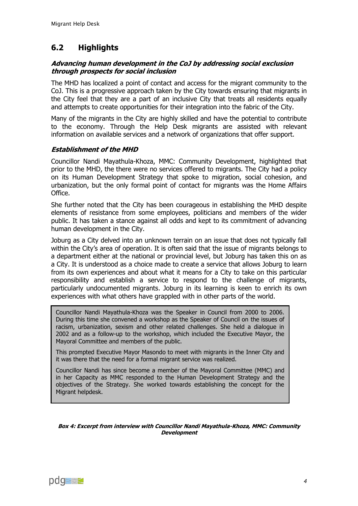## <span id="page-15-0"></span>**6.2 Highlights**

#### **Advancing human development in the CoJ by addressing social exclusion through prospects for social inclusion**

The MHD has localized a point of contact and access for the migrant community to the CoJ. This is a progressive approach taken by the City towards ensuring that migrants in the City feel that they are a part of an inclusive City that treats all residents equally and attempts to create opportunities for their integration into the fabric of the City.

Many of the migrants in the City are highly skilled and have the potential to contribute to the economy. Through the Help Desk migrants are assisted with relevant information on available services and a network of organizations that offer support.

#### **Establishment of the MHD**

Councillor Nandi Mayathula-Khoza, MMC: Community Development, highlighted that prior to the MHD, the there were no services offered to migrants. The City had a policy on its Human Development Strategy that spoke to migration, social cohesion, and urbanization, but the only formal point of contact for migrants was the Home Affairs Office.

She further noted that the City has been courageous in establishing the MHD despite elements of resistance from some employees, politicians and members of the wider public. It has taken a stance against all odds and kept to its commitment of advancing human development in the City.

Joburg as a City delved into an unknown terrain on an issue that does not typically fall within the City's area of operation. It is often said that the issue of migrants belongs to a department either at the national or provincial level, but Joburg has taken this on as a City. It is understood as a choice made to create a service that allows Joburg to learn from its own experiences and about what it means for a City to take on this particular responsibility and establish a service to respond to the challenge of migrants, particularly undocumented migrants. Joburg in its learning is keen to enrich its own experiences with what others have grappled with in other parts of the world.

Councillor Nandi Mayathula-Khoza was the Speaker in Council from 2000 to 2006. During this time she convened a workshop as the Speaker of Council on the issues of racism, urbanization, sexism and other related challenges. She held a dialogue in 2002 and as a follow-up to the workshop, which included the Executive Mayor, the Mayoral Committee and members of the public.

This prompted Executive Mayor Masondo to meet with migrants in the Inner City and it was there that the need for a formal migrant service was realized.

Councillor Nandi has since become a member of the Mayoral Committee (MMC) and in her Capacity as MMC responded to the Human Development Strategy and the objectives of the Strategy. She worked towards establishing the concept for the Migrant helpdesk.

**Box 4: Excerpt from interview with Councillor Nandi Mayathula-Khoza, MMC: Community Development**

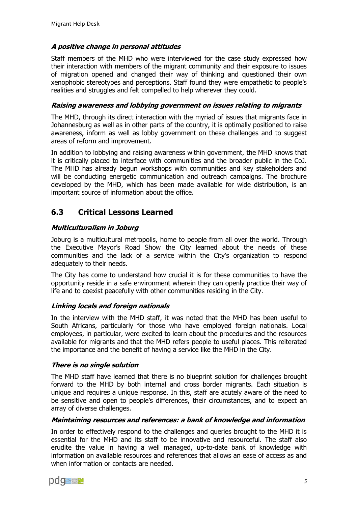### **A positive change in personal attitudes**

Staff members of the MHD who were interviewed for the case study expressed how their interaction with members of the migrant community and their exposure to issues of migration opened and changed their way of thinking and questioned their own xenophobic stereotypes and perceptions. Staff found they were empathetic to people's realities and struggles and felt compelled to help wherever they could.

#### **Raising awareness and lobbying government on issues relating to migrants**

The MHD, through its direct interaction with the myriad of issues that migrants face in Johannesburg as well as in other parts of the country, it is optimally positioned to raise awareness, inform as well as lobby government on these challenges and to suggest areas of reform and improvement.

In addition to lobbying and raising awareness within government, the MHD knows that it is critically placed to interface with communities and the broader public in the CoJ. The MHD has already begun workshops with communities and key stakeholders and will be conducting energetic communication and outreach campaigns. The brochure developed by the MHD, which has been made available for wide distribution, is an important source of information about the office.

## <span id="page-16-0"></span>**6.3 Critical Lessons Learned**

### **Multiculturalism in Joburg**

Joburg is a multicultural metropolis, home to people from all over the world. Through the Executive Mayor's Road Show the City learned about the needs of these communities and the lack of a service within the City's organization to respond adequately to their needs.

The City has come to understand how crucial it is for these communities to have the opportunity reside in a safe environment wherein they can openly practice their way of life and to coexist peacefully with other communities residing in the City.

### **Linking locals and foreign nationals**

In the interview with the MHD staff, it was noted that the MHD has been useful to South Africans, particularly for those who have employed foreign nationals. Local employees, in particular, were excited to learn about the procedures and the resources available for migrants and that the MHD refers people to useful places. This reiterated the importance and the benefit of having a service like the MHD in the City.

#### **There is no single solution**

The MHD staff have learned that there is no blueprint solution for challenges brought forward to the MHD by both internal and cross border migrants. Each situation is unique and requires a unique response. In this, staff are acutely aware of the need to be sensitive and open to people's differences, their circumstances, and to expect an array of diverse challenges.

#### **Maintaining resources and references: a bank of knowledge and information**

In order to effectively respond to the challenges and queries brought to the MHD it is essential for the MHD and its staff to be innovative and resourceful. The staff also erudite the value in having a well managed, up-to-date bank of knowledge with information on available resources and references that allows an ease of access as and when information or contacts are needed.

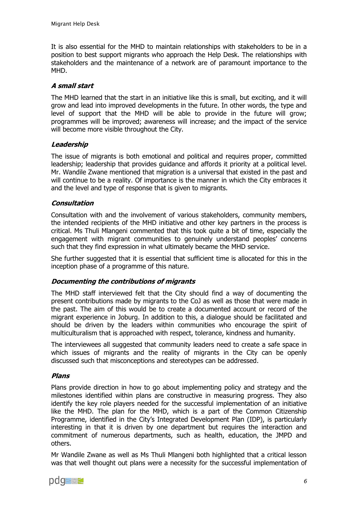It is also essential for the MHD to maintain relationships with stakeholders to be in a position to best support migrants who approach the Help Desk. The relationships with stakeholders and the maintenance of a network are of paramount importance to the MHD.

### **A small start**

The MHD learned that the start in an initiative like this is small, but exciting, and it will grow and lead into improved developments in the future. In other words, the type and level of support that the MHD will be able to provide in the future will grow; programmes will be improved; awareness will increase; and the impact of the service will become more visible throughout the City.

#### **Leadership**

The issue of migrants is both emotional and political and requires proper, committed leadership; leadership that provides guidance and affords it priority at a political level. Mr. Wandile Zwane mentioned that migration is a universal that existed in the past and will continue to be a reality. Of importance is the manner in which the City embraces it and the level and type of response that is given to migrants.

#### **Consultation**

Consultation with and the involvement of various stakeholders, community members, the intended recipients of the MHD initiative and other key partners in the process is critical. Ms Thuli Mlangeni commented that this took quite a bit of time, especially the engagement with migrant communities to genuinely understand peoples' concerns such that they find expression in what ultimately became the MHD service.

She further suggested that it is essential that sufficient time is allocated for this in the inception phase of a programme of this nature.

### **Documenting the contributions of migrants**

The MHD staff interviewed felt that the City should find a way of documenting the present contributions made by migrants to the CoJ as well as those that were made in the past. The aim of this would be to create a documented account or record of the migrant experience in Joburg. In addition to this, a dialogue should be facilitated and should be driven by the leaders within communities who encourage the spirit of multiculturalism that is approached with respect, tolerance, kindness and humanity.

The interviewees all suggested that community leaders need to create a safe space in which issues of migrants and the reality of migrants in the City can be openly discussed such that misconceptions and stereotypes can be addressed.

#### **Plans**

Plans provide direction in how to go about implementing policy and strategy and the milestones identified within plans are constructive in measuring progress. They also identify the key role players needed for the successful implementation of an initiative like the MHD. The plan for the MHD, which is a part of the Common Citizenship Programme, identified in the City's Integrated Development Plan (IDP), is particularly interesting in that it is driven by one department but requires the interaction and commitment of numerous departments, such as health, education, the JMPD and others.

Mr Wandile Zwane as well as Ms Thuli Mlangeni both highlighted that a critical lesson was that well thought out plans were a necessity for the successful implementation of

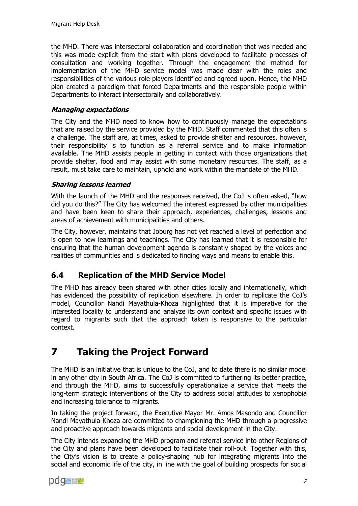the MHD. There was intersectoral collaboration and coordination that was needed and this was made explicit from the start with plans developed to facilitate processes of consultation and working together. Through the engagement the method for implementation of the MHD service model was made clear with the roles and responsibilities of the various role players identified and agreed upon. Hence, the MHD plan created a paradigm that forced Departments and the responsible people within Departments to interact intersectorally and collaboratively.

#### **Managing expectations**

The City and the MHD need to know how to continuously manage the expectations that are raised by the service provided by the MHD. Staff commented that this often is a challenge. The staff are, at times, asked to provide shelter and resources, however, their responsibility is to function as a referral service and to make information available. The MHD assists people in getting in contact with those organizations that provide shelter, food and may assist with some monetary resources. The staff, as a result, must take care to maintain, uphold and work within the mandate of the MHD.

#### **Sharing lessons learned**

With the launch of the MHD and the responses received, the CoJ is often asked, "how did you do this?" The City has welcomed the interest expressed by other municipalities and have been keen to share their approach, experiences, challenges, lessons and areas of achievement with municipalities and others.

The City, however, maintains that Joburg has not yet reached a level of perfection and is open to new learnings and teachings. The City has learned that it is responsible for ensuring that the human development agenda is constantly shaped by the voices and realities of communities and is dedicated to finding ways and means to enable this.

## <span id="page-18-0"></span>**6.4 Replication of the MHD Service Model**

The MHD has already been shared with other cities locally and internationally, which has evidenced the possibility of replication elsewhere. In order to replicate the CoJ's model, Councillor Nandi Mayathula-Khoza highlighted that it is imperative for the interested locality to understand and analyze its own context and specific issues with regard to migrants such that the approach taken is responsive to the particular context.

# <span id="page-18-1"></span>**7 Taking the Project Forward**

The MHD is an initiative that is unique to the CoJ, and to date there is no similar model in any other city in South Africa. The CoJ is committed to furthering its better practice, and through the MHD, aims to successfully operationalize a service that meets the long-term strategic interventions of the City to address social attitudes to xenophobia and increasing tolerance to migrants.

In taking the project forward, the Executive Mayor Mr. Amos Masondo and Councillor Nandi Mayathula-Khoza are committed to championing the MHD through a progressive and proactive approach towards migrants and social development in the City.

The City intends expanding the MHD program and referral service into other Regions of the City and plans have been developed to facilitate their roll-out. Together with this, the City's vision is to create a policy-shaping hub for integrating migrants into the social and economic life of the city, in line with the goal of building prospects for social

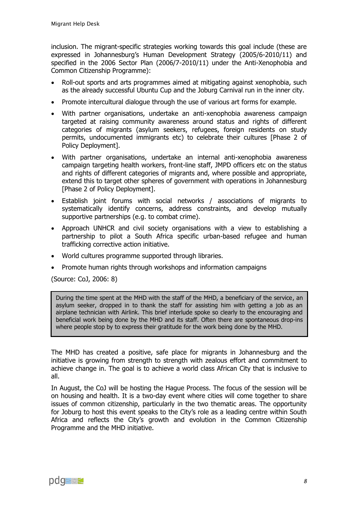inclusion. The migrant-specific strategies working towards this goal include (these are expressed in Johannesburg's Human Development Strategy (2005/6-2010/11) and specified in the 2006 Sector Plan (2006/7-2010/11) under the Anti-Xenophobia and Common Citizenship Programme):

- Roll-out sports and arts programmes aimed at mitigating against xenophobia, such as the already successful Ubuntu Cup and the Joburg Carnival run in the inner city.
- Promote intercultural dialogue through the use of various art forms for example.
- With partner organisations, undertake an anti-xenophobia awareness campaign targeted at raising community awareness around status and rights of different categories of migrants (asylum seekers, refugees, foreign residents on study permits, undocumented immigrants etc) to celebrate their cultures [Phase 2 of Policy Deployment].
- With partner organisations, undertake an internal anti-xenophobia awareness campaign targeting health workers, front-line staff, JMPD officers etc on the status and rights of different categories of migrants and, where possible and appropriate, extend this to target other spheres of government with operations in Johannesburg [Phase 2 of Policy Deployment].
- Establish joint forums with social networks / associations of migrants to systematically identify concerns, address constraints, and develop mutually supportive partnerships (e.g. to combat crime).
- Approach UNHCR and civil society organisations with a view to establishing a partnership to pilot a South Africa specific urban-based refugee and human trafficking corrective action initiative.
- World cultures programme supported through libraries.
- Promote human rights through workshops and information campaigns

(Source: CoJ, 2006: 8)

During the time spent at the MHD with the staff of the MHD, a beneficiary of the service, an asylum seeker, dropped in to thank the staff for assisting him with getting a job as an airplane technician with Airlink. This brief interlude spoke so clearly to the encouraging and beneficial work being done by the MHD and its staff. Often there are spontaneous drop-ins where people stop by to express their gratitude for the work being done by the MHD.

The MHD has created a positive, safe place for migrants in Johannesburg and the initiative is growing from strength to strength with zealous effort and commitment to achieve change in. The goal is to achieve a world class African City that is inclusive to all.

In August, the CoJ will be hosting the Hague Process. The focus of the session will be on housing and health. It is a two-day event where cities will come together to share issues of common citizenship, particularly in the two thematic areas. The opportunity for Joburg to host this event speaks to the City's role as a leading centre within South Africa and reflects the City's growth and evolution in the Common Citizenship Programme and the MHD initiative.